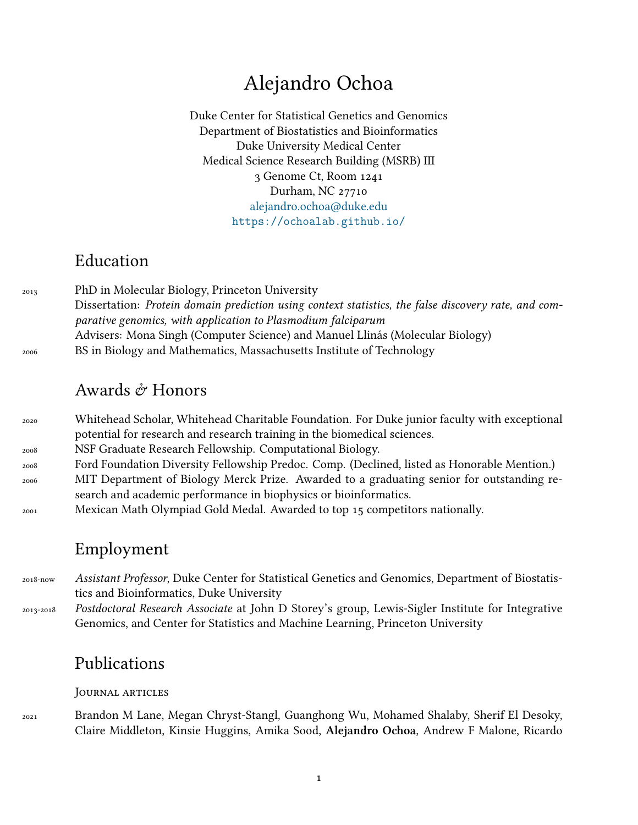# Alejandro Ochoa

Duke Center for Statistical Genetics and Genomics Department of Biostatistics and Bioinformatics Duke University Medical Center Medical Science Research Building (MSRB) III 3 Genome Ct, Room 1241 Durham, NC 27710 [alejandro.ochoa@duke.edu](mailto:alejandro.ochoa@duke.edu) <https://ochoalab.github.io/>

## Education

<sup>2013</sup> PhD in Molecular Biology, Princeton University Dissertation: *Protein domain prediction using context statistics, the false discovery rate, and comparative genomics, with application to Plasmodium falciparum* Advisers: Mona Singh (Computer Science) and Manuel Llinás (Molecular Biology) <sup>2006</sup> BS in Biology and Mathematics, Massachusetts Institute of Technology

### Awards  $\mathcal O$  Honors

 Whitehead Scholar, Whitehead Charitable Foundation. For Duke junior faculty with exceptional potential for research and research training in the biomedical sciences. NSF Graduate Research Fellowship. Computational Biology. Ford Foundation Diversity Fellowship Predoc. Comp. (Declined, listed as Honorable Mention.) MIT Department of Biology Merck Prize. Awarded to a graduating senior for outstanding research and academic performance in biophysics or bioinformatics. Mexican Math Olympiad Gold Medal. Awarded to top 15 competitors nationally.

## Employment

2018-now *Assistant Professor*, Duke Center for Statistical Genetics and Genomics, Department of Biostatistics and Bioinformatics, Duke University

2013-2018 *Postdoctoral Research Associate* at John D Storey's group, Lewis-Sigler Institute for Integrative Genomics, and Center for Statistics and Machine Learning, Princeton University

### Publications

### JouRnal aRticles

<sup>2021</sup> Brandon M Lane, Megan Chryst-Stangl, Guanghong Wu, Mohamed Shalaby, Sherif El Desoky, Claire Middleton, Kinsie Huggins, Amika Sood, **Alejandro Ochoa**, Andrew F Malone, Ricardo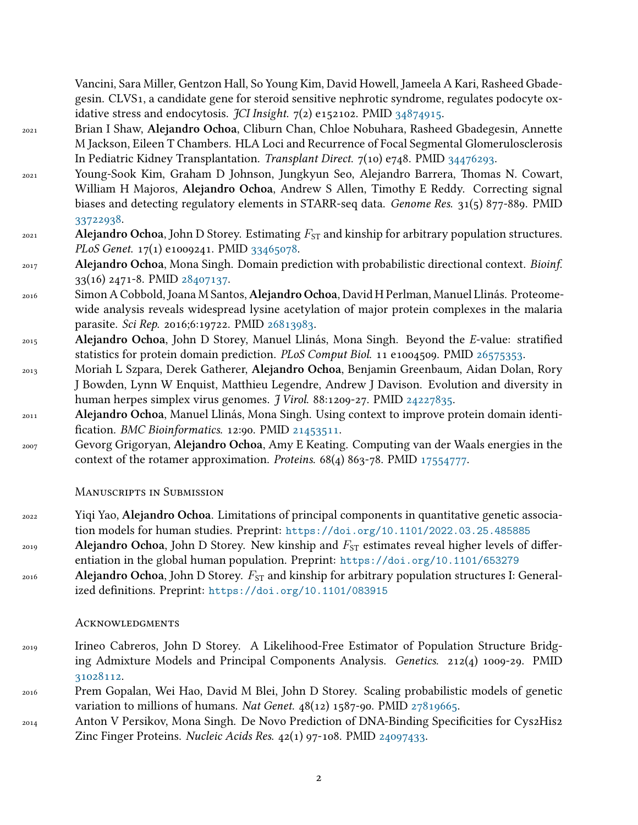Vancini, Sara Miller, Gentzon Hall, So Young Kim, David Howell, Jameela A Kari, Rasheed Gbadegesin. CLVS1, a candidate gene for steroid sensitive nephrotic syndrome, regulates podocyte oxidative stress and endocytosis. *JCI Insight*. 7(2) e152102. PMID [34874915.](https://www.ncbi.nlm.nih.gov/pubmed/34874915)

- <sup>2021</sup> Brian I Shaw, **Alejandro Ochoa**, Cliburn Chan, Chloe Nobuhara, Rasheed Gbadegesin, Annette M Jackson, Eileen T Chambers. HLA Loci and Recurrence of Focal Segmental Glomerulosclerosis In Pediatric Kidney Transplantation. *Transplant Direct*. 7(10) e748. PMID [34476293.](https://www.ncbi.nlm.nih.gov/pubmed/34476293)
- <sup>2021</sup> Young-Sook Kim, Graham D Johnson, Jungkyun Seo, Alejandro Barrera, Thomas N. Cowart, William H Majoros, **Alejandro Ochoa**, Andrew S Allen, Timothy E Reddy. Correcting signal biases and detecting regulatory elements in STARR-seq data. *Genome Res*. 31(5) 877-889. PMID [33722938](https://www.ncbi.nlm.nih.gov/pubmed/33722938).

### $2021$  **Alejandro Ochoa**, John D Storey. Estimating  $F_{ST}$  and kinship for arbitrary population structures. *PLoS Genet*. 17(1) e1009241. PMID [33465078](https://www.ncbi.nlm.nih.gov/pubmed/33465078).

- <sup>2017</sup> **Alejandro Ochoa**, Mona Singh. Domain prediction with probabilistic directional context. *Bioinf*. 33(16) 2471-8. PMID [28407137.](https://www.ncbi.nlm.nih.gov/pubmed/28407137)
- <sup>2016</sup> Simon A Cobbold, Joana M Santos, **Alejandro Ochoa**, David H Perlman, Manuel Llinás. Proteomewide analysis reveals widespread lysine acetylation of major protein complexes in the malaria parasite. *Sci Rep*. 2016;6:19722. PMID [26813983](https://www.ncbi.nlm.nih.gov/pubmed/26813983).
- <sup>2015</sup> **Alejandro Ochoa**, John D Storey, Manuel Llinás, Mona Singh. Beyond the *E*-value: stratified statistics for protein domain prediction. *PLoS Comput Biol*. 11 e1004509. PMID [26575353.](https://www.ncbi.nlm.nih.gov/pubmed/26575353)
- <sup>2013</sup> Moriah L Szpara, Derek Gatherer, **Alejandro Ochoa**, Benjamin Greenbaum, Aidan Dolan, Rory J Bowden, Lynn W Enquist, Matthieu Legendre, Andrew J Davison. Evolution and diversity in human herpes simplex virus genomes. *J Virol*. 88:1209-27. PMID [24227835.](https://www.ncbi.nlm.nih.gov/pubmed/24227835)
- <sup>2011</sup> **Alejandro Ochoa**, Manuel Llinás, Mona Singh. Using context to improve protein domain identification. *BMC Bioinformatics*. 12:90. PMID [21453511](https://www.ncbi.nlm.nih.gov/pubmed/21453511).
- <sup>2007</sup> Gevorg Grigoryan, **Alejandro Ochoa**, Amy E Keating. Computing van der Waals energies in the context of the rotamer approximation. *Proteins*. 68(4) 863-78. PMID [17554777](https://www.ncbi.nlm.nih.gov/pubmed/17554777).

#### ManuscRipts in Submission

- <sup>2022</sup> Yiqi Yao, **Alejandro Ochoa**. Limitations of principal components in quantitative genetic association models for human studies. Preprint: <https://doi.org/10.1101/2022.03.25.485885>
- $P_{\text{2019}}$  **Alejandro Ochoa**, John D Storey. New kinship and  $F_{\text{ST}}$  estimates reveal higher levels of differentiation in the global human population. Preprint: <https://doi.org/10.1101/653279>
- <sup>2016</sup> Alejandro Ochoa, John D Storey.  $F_{ST}$  and kinship for arbitrary population structures I: Generalized definitions. Preprint: <https://doi.org/10.1101/083915>

#### **ACKNOWLEDGMENTS**

- <sup>2019</sup> Irineo Cabreros, John D Storey. A Likelihood-Free Estimator of Population Structure Bridging Admixture Models and Principal Components Analysis. *Genetics*. 212(4) 1009-29. PMID [31028112](https://www.ncbi.nlm.nih.gov/pubmed/31028112).
- <sup>2016</sup> Prem Gopalan, Wei Hao, David M Blei, John D Storey. Scaling probabilistic models of genetic variation to millions of humans. *Nat Genet*. 48(12) 1587-90. PMID [27819665](https://www.ncbi.nlm.nih.gov/pubmed/27819665).
- <sup>2014</sup> Anton V Persikov, Mona Singh. De Novo Prediction of DNA-Binding Specificities for Cys2His2 Zinc Finger Proteins. *Nucleic Acids Res*. 42(1) 97-108. PMID [24097433](https://www.ncbi.nlm.nih.gov/pubmed/24097433).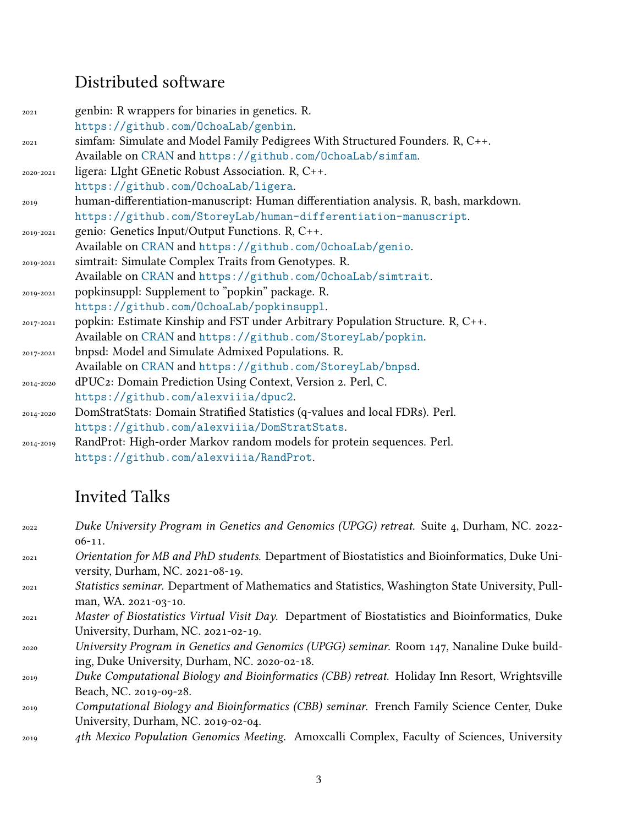# Distributed software

| 2021      | genbin: R wrappers for binaries in genetics. R.                                      |
|-----------|--------------------------------------------------------------------------------------|
|           | https://github.com/OchoaLab/genbin.                                                  |
| 2021      | simfam: Simulate and Model Family Pedigrees With Structured Founders. R, C++.        |
|           | Available on CRAN and https://github.com/0choaLab/simfam.                            |
| 2020-2021 | ligera: LIght GEnetic Robust Association. R, C++.                                    |
|           | https://github.com/0choaLab/ligera.                                                  |
| 2019      | human-differentiation-manuscript: Human differentiation analysis. R, bash, markdown. |
|           | https://github.com/StoreyLab/human-differentiation-manuscript.                       |
| 2019-2021 | genio: Genetics Input/Output Functions. R, C++.                                      |
|           | Available on CRAN and https://github.com/OchoaLab/genio.                             |
| 2019-2021 | simtrait: Simulate Complex Traits from Genotypes. R.                                 |
|           | Available on CRAN and https://github.com/0choaLab/simtrait.                          |
| 2019-2021 | popkinsuppl: Supplement to "popkin" package. R.                                      |
|           | https://github.com/OchoaLab/popkinsuppl.                                             |
| 2017-2021 | popkin: Estimate Kinship and FST under Arbitrary Population Structure. R, C++.       |
|           | Available on CRAN and https://github.com/StoreyLab/popkin.                           |
| 2017-2021 | bnpsd: Model and Simulate Admixed Populations. R.                                    |
|           | Available on CRAN and https://github.com/StoreyLab/bnpsd.                            |
| 2014-2020 | dPUC2: Domain Prediction Using Context, Version 2. Perl, C.                          |
|           | https://github.com/alexviiia/dpuc2.                                                  |
| 2014-2020 | DomStratStats: Domain Stratified Statistics (q-values and local FDRs). Perl.         |
|           | https://github.com/alexviiia/DomStratStats.                                          |
| 2014-2019 | RandProt: High-order Markov random models for protein sequences. Perl.               |
|           | https://github.com/alexviiia/RandProt.                                               |

# Invited Talks

| 2022 | Duke University Program in Genetics and Genomics (UPGG) retreat. Suite 4, Durham, NC. 2022-      |
|------|--------------------------------------------------------------------------------------------------|
|      | $06-11.$                                                                                         |
| 2021 | Orientation for MB and PhD students. Department of Biostatistics and Bioinformatics, Duke Uni-   |
|      | versity, Durham, NC. 2021-08-19.                                                                 |
| 2021 | Statistics seminar. Department of Mathematics and Statistics, Washington State University, Pull- |
|      | man, WA. 2021-03-10.                                                                             |
| 2021 | Master of Biostatistics Virtual Visit Day. Department of Biostatistics and Bioinformatics, Duke  |
|      | University, Durham, NC. 2021-02-19.                                                              |
| 2020 | University Program in Genetics and Genomics (UPGG) seminar. Room 147, Nanaline Duke build-       |
|      | ing, Duke University, Durham, NC. 2020-02-18.                                                    |
| 2019 | Duke Computational Biology and Bioinformatics (CBB) retreat. Holiday Inn Resort, Wrightsville    |
|      | Beach, NC. 2019-09-28.                                                                           |
| 2019 | Computational Biology and Bioinformatics (CBB) seminar. French Family Science Center, Duke       |
|      | University, Durham, NC. 2019-02-04.                                                              |
| 2019 | 4th Mexico Population Genomics Meeting. Amoxcalli Complex, Faculty of Sciences, University       |
|      |                                                                                                  |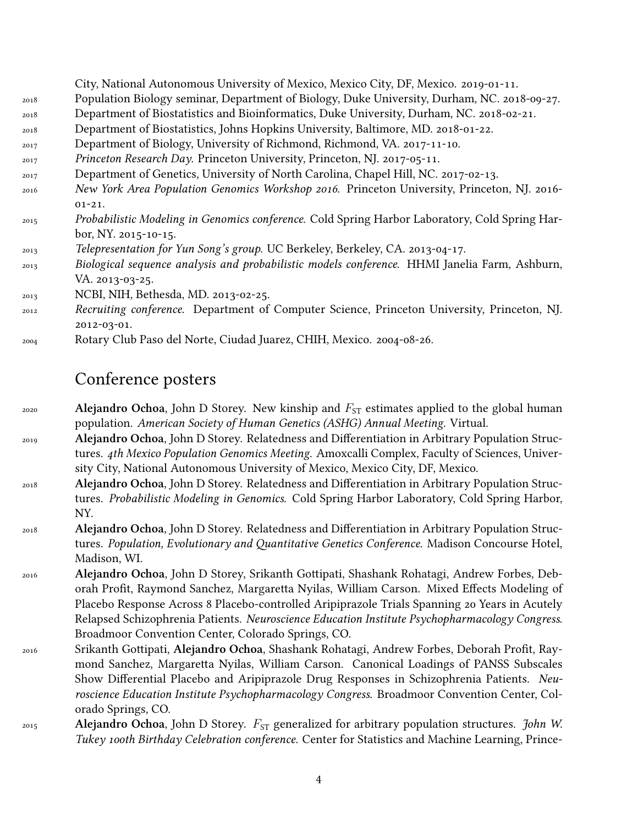|      | City, National Autonomous University of Mexico, Mexico City, DF, Mexico. 2019-01-11.           |
|------|------------------------------------------------------------------------------------------------|
| 2018 | Population Biology seminar, Department of Biology, Duke University, Durham, NC. 2018-09-27.    |
| 2018 | Department of Biostatistics and Bioinformatics, Duke University, Durham, NC. 2018-02-21.       |
| 2018 | Department of Biostatistics, Johns Hopkins University, Baltimore, MD. 2018-01-22.              |
| 2017 | Department of Biology, University of Richmond, Richmond, VA. 2017-11-10.                       |
| 2017 | Princeton Research Day. Princeton University, Princeton, NJ. 2017-05-11.                       |
| 2017 | Department of Genetics, University of North Carolina, Chapel Hill, NC. 2017-02-13.             |
| 2016 | New York Area Population Genomics Workshop 2016. Princeton University, Princeton, NJ. 2016-    |
|      | $01 - 21.$                                                                                     |
| 2015 | Probabilistic Modeling in Genomics conference. Cold Spring Harbor Laboratory, Cold Spring Har- |
|      | bor, NY. 2015-10-15.                                                                           |
| 2013 | Telepresentation for Yun Song's group. UC Berkeley, Berkeley, CA. 2013-04-17.                  |
| 2013 | Biological sequence analysis and probabilistic models conference. HHMI Janelia Farm, Ashburn,  |
|      | VA. 2013-03-25.                                                                                |
| 2013 | NCBI, NIH, Bethesda, MD. 2013-02-25.                                                           |
| 2012 | Recruiting conference. Department of Computer Science, Princeton University, Princeton, NJ.    |
|      | 2012-03-01.                                                                                    |

<sup>2004</sup> Rotary Club Paso del Norte, Ciudad Juarez, CHIH, Mexico. 2004-08-26.

## Conference posters

- <sup>2020</sup> **Alejandro Ochoa**, John D Storey. New kinship and  $F_{ST}$  estimates applied to the global human population. *American Society of Human Genetics (ASHG) Annual Meeting*. Virtual.
- <sup>2019</sup> **Alejandro Ochoa**, John D Storey. Relatedness and Differentiation in Arbitrary Population Structures. *4th Mexico Population Genomics Meeting*. Amoxcalli Complex, Faculty of Sciences, University City, National Autonomous University of Mexico, Mexico City, DF, Mexico.
- <sup>2018</sup> **Alejandro Ochoa**, John D Storey. Relatedness and Differentiation in Arbitrary Population Structures. *Probabilistic Modeling in Genomics*. Cold Spring Harbor Laboratory, Cold Spring Harbor, NY.
- <sup>2018</sup> **Alejandro Ochoa**, John D Storey. Relatedness and Differentiation in Arbitrary Population Structures. *Population, Evolutionary and Quantitative Genetics Conference*. Madison Concourse Hotel, Madison, WI.
- <sup>2016</sup> **Alejandro Ochoa**, John D Storey, Srikanth Gottipati, Shashank Rohatagi, Andrew Forbes, Deborah Profit, Raymond Sanchez, Margaretta Nyilas, William Carson. Mixed Effects Modeling of Placebo Response Across 8 Placebo-controlled Aripiprazole Trials Spanning 20 Years in Acutely Relapsed Schizophrenia Patients. *Neuroscience Education Institute Psychopharmacology Congress*. Broadmoor Convention Center, Colorado Springs, CO.
- <sup>2016</sup> Srikanth Gottipati, **Alejandro Ochoa**, Shashank Rohatagi, Andrew Forbes, Deborah Profit, Raymond Sanchez, Margaretta Nyilas, William Carson. Canonical Loadings of PANSS Subscales Show Differential Placebo and Aripiprazole Drug Responses in Schizophrenia Patients. *Neuroscience Education Institute Psychopharmacology Congress*. Broadmoor Convention Center, Colorado Springs, CO.
- <sup>2015</sup> **Alejandro Ochoa**, John D Storey. *F*ST generalized for arbitrary population structures. *John W. Tukey 100th Birthday Celebration conference*. Center for Statistics and Machine Learning, Prince-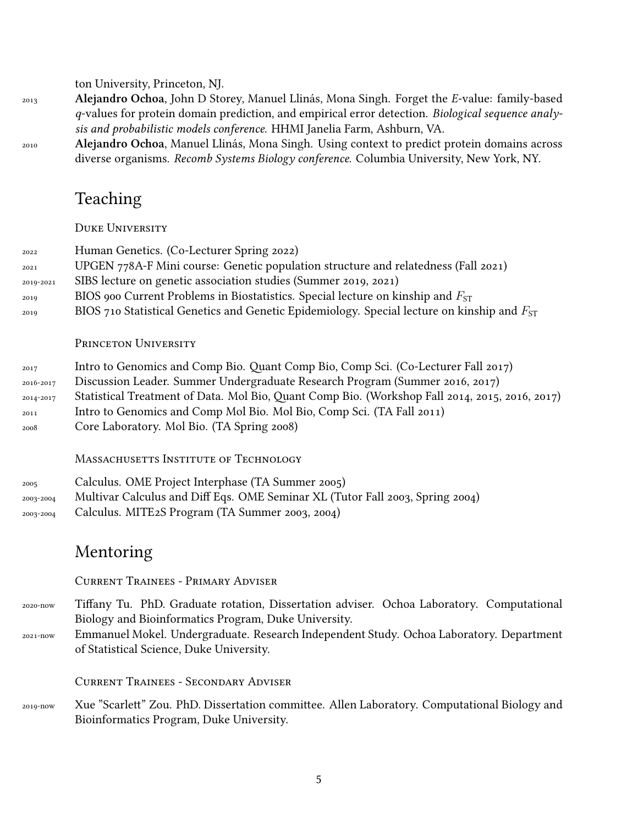ton University, Princeton, NJ.

- <sup>2013</sup> **Alejandro Ochoa**, John D Storey, Manuel Llinás, Mona Singh. Forget the *E*-value: family-based *q*-values for protein domain prediction, and empirical error detection. *Biological sequence analysis and probabilistic models conference*. HHMI Janelia Farm, Ashburn, VA.
- <sup>2010</sup> **Alejandro Ochoa**, Manuel Llinás, Mona Singh. Using context to predict protein domains across diverse organisms. *Recomb Systems Biology conference*. Columbia University, New York, NY.

# Teaching

DUKE UNIVERSITY

| 2022<br>2021<br>2019-2021<br>2019<br>2019      | Human Genetics. (Co-Lecturer Spring 2022)<br>UPGEN 778A-F Mini course: Genetic population structure and relatedness (Fall 2021)<br>SIBS lecture on genetic association studies (Summer 2019, 2021)<br>BIOS 900 Current Problems in Biostatistics. Special lecture on kinship and $F_{ST}$<br>BIOS 710 Statistical Genetics and Genetic Epidemiology. Special lecture on kinship and $F_{ST}$ |
|------------------------------------------------|----------------------------------------------------------------------------------------------------------------------------------------------------------------------------------------------------------------------------------------------------------------------------------------------------------------------------------------------------------------------------------------------|
|                                                | PRINCETON UNIVERSITY                                                                                                                                                                                                                                                                                                                                                                         |
| 2017<br>2016-2017<br>2014-2017<br>2011<br>2008 | Intro to Genomics and Comp Bio. Quant Comp Bio, Comp Sci. (Co-Lecturer Fall 2017)<br>Discussion Leader. Summer Undergraduate Research Program (Summer 2016, 2017)<br>Statistical Treatment of Data. Mol Bio, Quant Comp Bio. (Workshop Fall 2014, 2015, 2016, 2017)<br>Intro to Genomics and Comp Mol Bio. Mol Bio, Comp Sci. (TA Fall 2011)<br>Core Laboratory. Mol Bio. (TA Spring 2008)   |
|                                                | MASSACHUSETTS INSTITUTE OF TECHNOLOGY                                                                                                                                                                                                                                                                                                                                                        |
| 2005<br>2003-2004<br>2003-2004                 | Calculus. OME Project Interphase (TA Summer 2005)<br>Multivar Calculus and Diff Eqs. OME Seminar XL (Tutor Fall 2003, Spring 2004)<br>Calculus. MITE2S Program (TA Summer 2003, 2004)                                                                                                                                                                                                        |
|                                                | Mentoring                                                                                                                                                                                                                                                                                                                                                                                    |
|                                                | <b>CURRENT TRAINEES - PRIMARY ADVISER</b>                                                                                                                                                                                                                                                                                                                                                    |
| 2020-now<br>2021-now                           | Tiffany Tu. PhD. Graduate rotation, Dissertation adviser. Ochoa Laboratory. Computational<br>Biology and Bioinformatics Program, Duke University.<br>Emmanuel Mokel. Undergraduate. Research Independent Study. Ochoa Laboratory. Department<br>of Statistical Science, Duke University.                                                                                                     |
|                                                | <b>CURRENT TRAINEES - SECONDARY ADVISER</b>                                                                                                                                                                                                                                                                                                                                                  |
| 2019-now                                       | Xue "Scarlett" Zou. PhD. Dissertation committee. Allen Laboratory. Computational Biology and<br>Bioinformatics Program, Duke University.                                                                                                                                                                                                                                                     |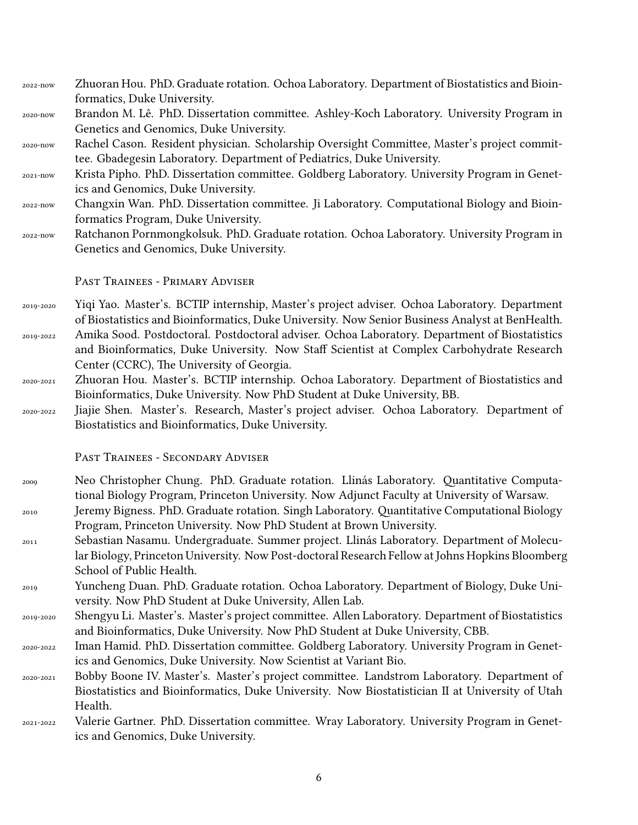2022-now Zhuoran Hou. PhD. Graduate rotation. Ochoa Laboratory. Department of Biostatistics and Bioinformatics, Duke University.

2020-now Brandon M. Lê. PhD. Dissertation committee. Ashley-Koch Laboratory. University Program in Genetics and Genomics, Duke University.

- 2020-now Rachel Cason. Resident physician. Scholarship Oversight Committee, Master's project committee. Gbadegesin Laboratory. Department of Pediatrics, Duke University.
- 2021-now Krista Pipho. PhD. Dissertation committee. Goldberg Laboratory. University Program in Genetics and Genomics, Duke University.
- 2022-now Changxin Wan. PhD. Dissertation committee. Ji Laboratory. Computational Biology and Bioinformatics Program, Duke University.
- 2022-now Ratchanon Pornmongkolsuk. PhD. Graduate rotation. Ochoa Laboratory. University Program in Genetics and Genomics, Duke University.

Past TRainees - PRimaRy AdviseR

- 2019-2020 Yiqi Yao. Master's. BCTIP internship, Master's project adviser. Ochoa Laboratory. Department of Biostatistics and Bioinformatics, Duke University. Now Senior Business Analyst at BenHealth.
- 2019-2022 Amika Sood. Postdoctoral. Postdoctoral adviser. Ochoa Laboratory. Department of Biostatistics and Bioinformatics, Duke University. Now Staff Scientist at Complex Carbohydrate Research Center (CCRC), The University of Georgia.
- 2020-2021 Zhuoran Hou. Master's. BCTIP internship. Ochoa Laboratory. Department of Biostatistics and Bioinformatics, Duke University. Now PhD Student at Duke University, BB.
- 2020-2022 Jiajie Shen. Master's. Research, Master's project adviser. Ochoa Laboratory. Department of Biostatistics and Bioinformatics, Duke University.

Past TRainees - SecondaRy AdviseR

- <sup>2009</sup> Neo Christopher Chung. PhD. Graduate rotation. Llinás Laboratory. Quantitative Computational Biology Program, Princeton University. Now Adjunct Faculty at University of Warsaw. <sup>2010</sup> Jeremy Bigness. PhD. Graduate rotation. Singh Laboratory. Quantitative Computational Biology
- Program, Princeton University. Now PhD Student at Brown University.
- <sup>2011</sup> Sebastian Nasamu. Undergraduate. Summer project. Llinás Laboratory. Department of Molecular Biology, Princeton University. Now Post-doctoral Research Fellow at Johns Hopkins Bloomberg School of Public Health.
- <sup>2019</sup> Yuncheng Duan. PhD. Graduate rotation. Ochoa Laboratory. Department of Biology, Duke University. Now PhD Student at Duke University, Allen Lab.
- 2019-2020 Shengyu Li. Master's. Master's project committee. Allen Laboratory. Department of Biostatistics and Bioinformatics, Duke University. Now PhD Student at Duke University, CBB.
- 2020-2022 Iman Hamid. PhD. Dissertation committee. Goldberg Laboratory. University Program in Genetics and Genomics, Duke University. Now Scientist at Variant Bio.
- 2020-2021 Bobby Boone IV. Master's. Master's project committee. Landstrom Laboratory. Department of Biostatistics and Bioinformatics, Duke University. Now Biostatistician II at University of Utah Health.

2021-2022 Valerie Gartner. PhD. Dissertation committee. Wray Laboratory. University Program in Genetics and Genomics, Duke University.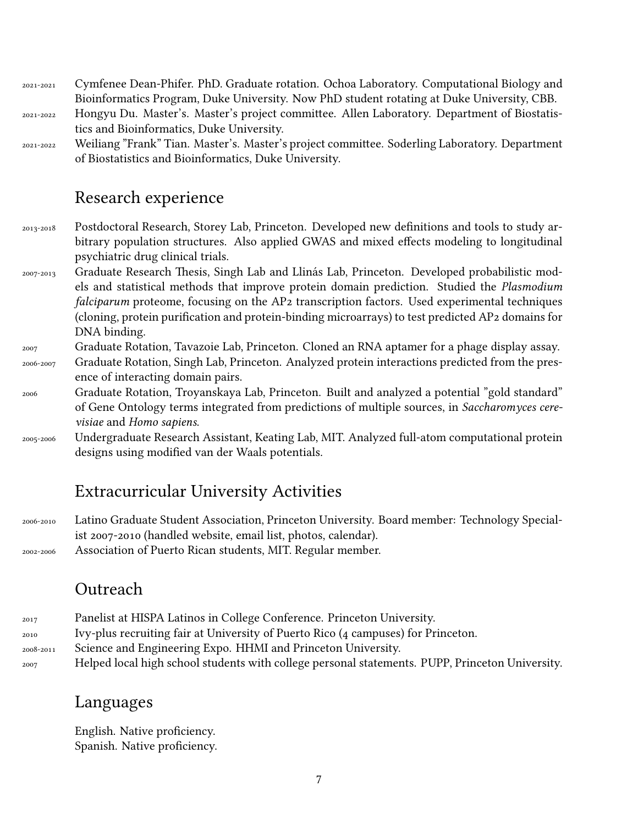2021-2021 Cymfenee Dean-Phifer. PhD. Graduate rotation. Ochoa Laboratory. Computational Biology and Bioinformatics Program, Duke University. Now PhD student rotating at Duke University, CBB. 2021-2022 Hongyu Du. Master's. Master's project committee. Allen Laboratory. Department of Biostatistics and Bioinformatics, Duke University.

2021-2022 Weiliang "Frank" Tian. Master's. Master's project committee. Soderling Laboratory. Department of Biostatistics and Bioinformatics, Duke University.

## Research experience

- 2013-2018 Postdoctoral Research, Storey Lab, Princeton. Developed new definitions and tools to study arbitrary population structures. Also applied GWAS and mixed effects modeling to longitudinal psychiatric drug clinical trials.
- 2007-2013 Graduate Research Thesis, Singh Lab and Llinás Lab, Princeton. Developed probabilistic models and statistical methods that improve protein domain prediction. Studied the *Plasmodium falciparum* proteome, focusing on the AP2 transcription factors. Used experimental techniques (cloning, protein purification and protein-binding microarrays) to test predicted AP2 domains for DNA binding.
- <sup>2007</sup> Graduate Rotation, Tavazoie Lab, Princeton. Cloned an RNA aptamer for a phage display assay.
- 2006-2007 Graduate Rotation, Singh Lab, Princeton. Analyzed protein interactions predicted from the presence of interacting domain pairs.
- <sup>2006</sup> Graduate Rotation, Troyanskaya Lab, Princeton. Built and analyzed a potential "gold standard" of Gene Ontology terms integrated from predictions of multiple sources, in *Saccharomyces cerevisiae* and *Homo sapiens*.
- 2005-2006 Undergraduate Research Assistant, Keating Lab, MIT. Analyzed full-atom computational protein designs using modified van der Waals potentials.

# Extracurricular University Activities

2006-2010 Latino Graduate Student Association, Princeton University. Board member: Technology Specialist 2007-2010 (handled website, email list, photos, calendar). 2002-2006 Association of Puerto Rican students, MIT. Regular member.

## Outreach

| 2017      | Panelist at HISPA Latinos in College Conference. Princeton University.                          |
|-----------|-------------------------------------------------------------------------------------------------|
| 2010      | Ivy-plus recruiting fair at University of Puerto Rico (4 campuses) for Princeton.               |
| 2008-2011 | Science and Engineering Expo. HHMI and Princeton University.                                    |
| 2007      | Helped local high school students with college personal statements. PUPP, Princeton University. |

## Languages

English. Native proficiency. Spanish. Native proficiency.